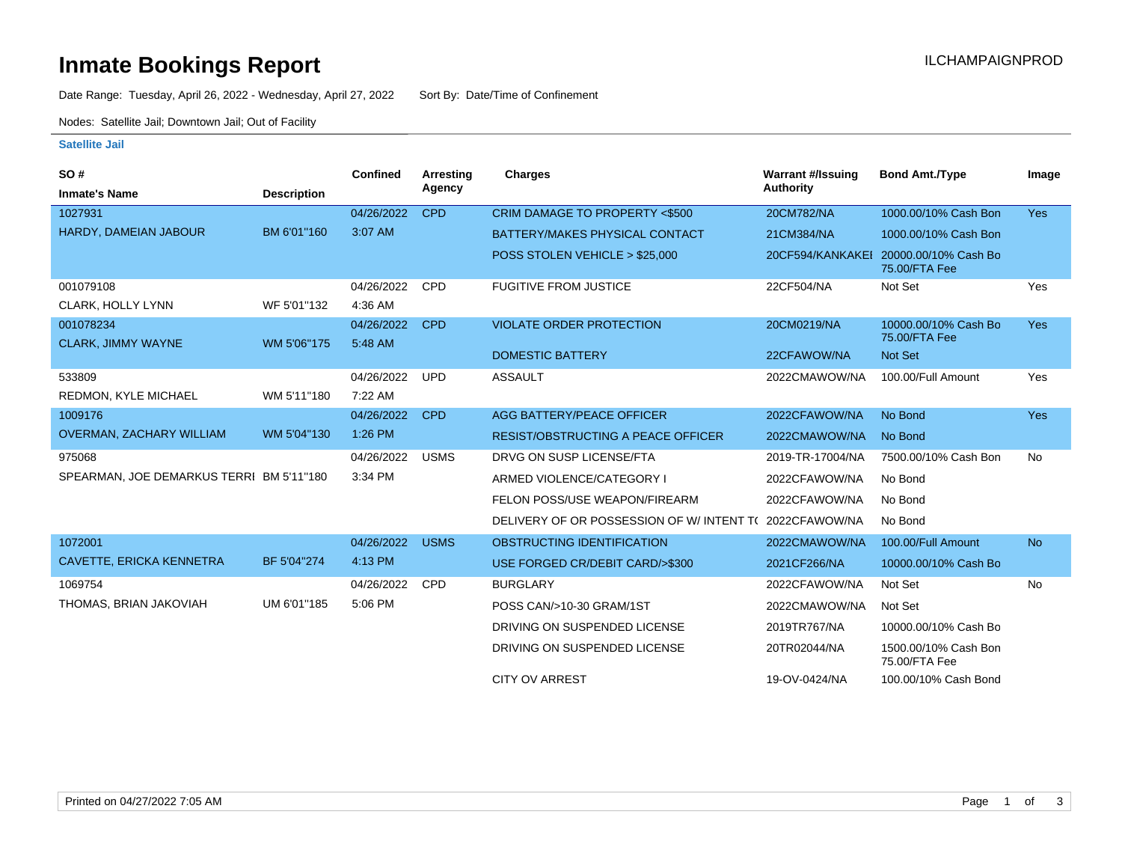# **Inmate Bookings Report Installation ILCHAMPAIGNPROD**

Date Range: Tuesday, April 26, 2022 - Wednesday, April 27, 2022 Sort By: Date/Time of Confinement

Nodes: Satellite Jail; Downtown Jail; Out of Facility

### **Satellite Jail**

| <b>SO#</b>                               |                    | Confined   | <b>Arresting</b> | <b>Charges</b>                            | <b>Warrant #/Issuing</b> | <b>Bond Amt./Type</b>                                  | Image      |
|------------------------------------------|--------------------|------------|------------------|-------------------------------------------|--------------------------|--------------------------------------------------------|------------|
| <b>Inmate's Name</b>                     | <b>Description</b> |            | Agency           |                                           | <b>Authority</b>         |                                                        |            |
| 1027931                                  |                    | 04/26/2022 | <b>CPD</b>       | CRIM DAMAGE TO PROPERTY <\$500            | 20CM782/NA               | 1000.00/10% Cash Bon                                   | <b>Yes</b> |
| HARDY, DAMEIAN JABOUR                    | BM 6'01"160        | 3:07 AM    |                  | BATTERY/MAKES PHYSICAL CONTACT            | 21CM384/NA               | 1000.00/10% Cash Bon                                   |            |
|                                          |                    |            |                  | POSS STOLEN VEHICLE > \$25,000            |                          | 20CF594/KANKAKEI 20000.00/10% Cash Bo<br>75.00/FTA Fee |            |
| 001079108                                |                    | 04/26/2022 | <b>CPD</b>       | <b>FUGITIVE FROM JUSTICE</b>              | 22CF504/NA               | Not Set                                                | Yes        |
| <b>CLARK, HOLLY LYNN</b>                 | WF 5'01"132        | 4:36 AM    |                  |                                           |                          |                                                        |            |
| 001078234                                |                    | 04/26/2022 | <b>CPD</b>       | <b>VIOLATE ORDER PROTECTION</b>           | 20CM0219/NA              | 10000.00/10% Cash Bo<br>75.00/FTA Fee                  | <b>Yes</b> |
| <b>CLARK, JIMMY WAYNE</b>                | WM 5'06"175        | 5:48 AM    |                  | <b>DOMESTIC BATTERY</b>                   | 22CFAWOW/NA              | Not Set                                                |            |
| 533809                                   |                    | 04/26/2022 | <b>UPD</b>       | <b>ASSAULT</b>                            | 2022CMAWOW/NA            | 100.00/Full Amount                                     | Yes        |
| REDMON, KYLE MICHAEL                     | WM 5'11"180        | 7:22 AM    |                  |                                           |                          |                                                        |            |
|                                          |                    |            |                  |                                           |                          |                                                        |            |
| 1009176                                  |                    | 04/26/2022 | <b>CPD</b>       | AGG BATTERY/PEACE OFFICER                 | 2022CFAWOW/NA            | No Bond                                                | <b>Yes</b> |
| <b>OVERMAN, ZACHARY WILLIAM</b>          | WM 5'04"130        | 1:26 PM    |                  | <b>RESIST/OBSTRUCTING A PEACE OFFICER</b> | 2022CMAWOW/NA            | No Bond                                                |            |
| 975068                                   |                    | 04/26/2022 | <b>USMS</b>      | DRVG ON SUSP LICENSE/FTA                  | 2019-TR-17004/NA         | 7500.00/10% Cash Bon                                   | <b>No</b>  |
| SPEARMAN, JOE DEMARKUS TERRI BM 5'11"180 |                    | 3:34 PM    |                  | ARMED VIOLENCE/CATEGORY I                 | 2022CFAWOW/NA            | No Bond                                                |            |
|                                          |                    |            |                  | FELON POSS/USE WEAPON/FIREARM             | 2022CFAWOW/NA            | No Bond                                                |            |
|                                          |                    |            |                  | DELIVERY OF OR POSSESSION OF W/ INTENT TO | 2022CFAWOW/NA            | No Bond                                                |            |
| 1072001                                  |                    | 04/26/2022 | <b>USMS</b>      | OBSTRUCTING IDENTIFICATION                | 2022CMAWOW/NA            | 100.00/Full Amount                                     | <b>No</b>  |
| CAVETTE, ERICKA KENNETRA                 | BF 5'04"274        | 4:13 PM    |                  | USE FORGED CR/DEBIT CARD/>\$300           | 2021CF266/NA             | 10000.00/10% Cash Bo                                   |            |
| 1069754                                  |                    | 04/26/2022 | <b>CPD</b>       | <b>BURGLARY</b>                           | 2022CFAWOW/NA            | Not Set                                                | <b>No</b>  |
| THOMAS, BRIAN JAKOVIAH                   | UM 6'01"185        | 5:06 PM    |                  | POSS CAN/>10-30 GRAM/1ST                  | 2022CMAWOW/NA            | Not Set                                                |            |
|                                          |                    |            |                  | DRIVING ON SUSPENDED LICENSE              | 2019TR767/NA             | 10000.00/10% Cash Bo                                   |            |
|                                          |                    |            |                  | DRIVING ON SUSPENDED LICENSE              | 20TR02044/NA             | 1500.00/10% Cash Bon<br>75.00/FTA Fee                  |            |
|                                          |                    |            |                  | <b>CITY OV ARREST</b>                     | 19-OV-0424/NA            | 100.00/10% Cash Bond                                   |            |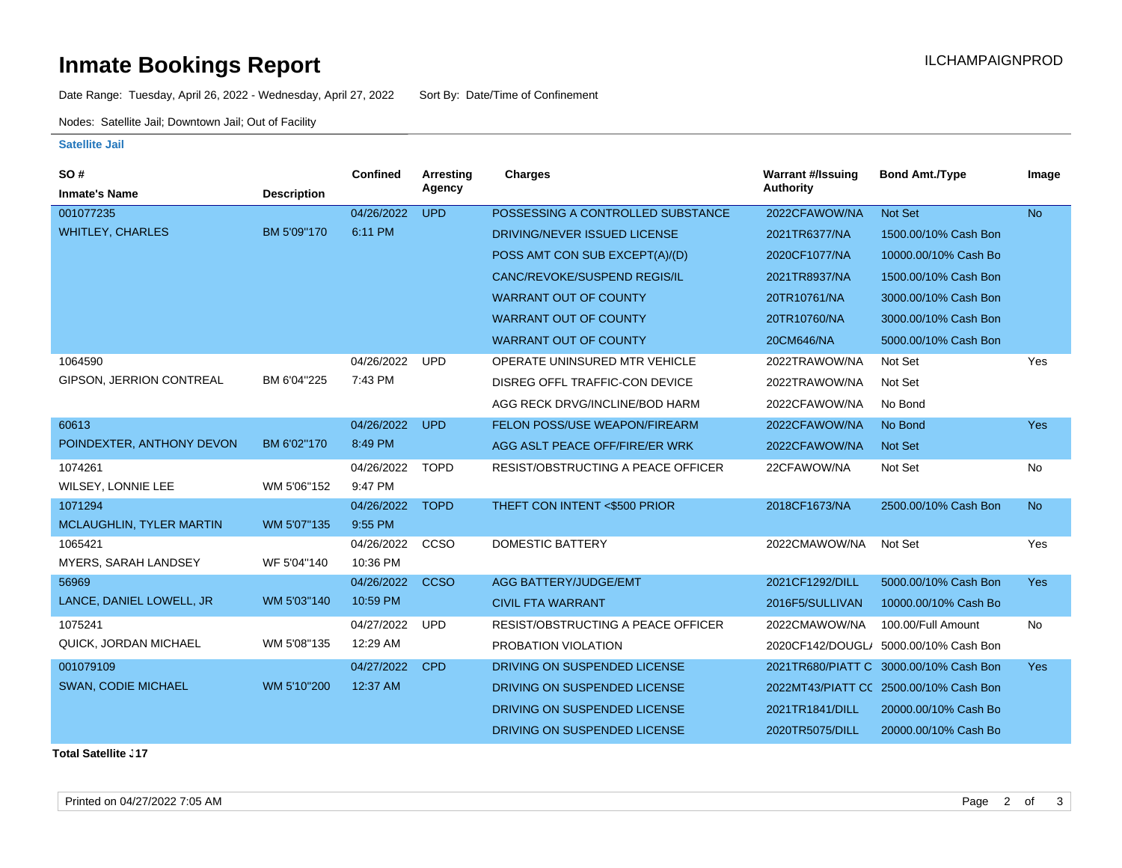# **Inmate Bookings Report Inmate Bookings Report**

Date Range: Tuesday, April 26, 2022 - Wednesday, April 27, 2022 Sort By: Date/Time of Confinement

Nodes: Satellite Jail; Downtown Jail; Out of Facility

#### **Satellite Jail**

| <b>SO#</b>                 |                    | Confined   | Arresting   | <b>Charges</b>                            | <b>Warrant #/Issuing</b> | <b>Bond Amt./Type</b>                  | Image      |
|----------------------------|--------------------|------------|-------------|-------------------------------------------|--------------------------|----------------------------------------|------------|
| <b>Inmate's Name</b>       | <b>Description</b> |            | Agency      |                                           | <b>Authority</b>         |                                        |            |
| 001077235                  |                    | 04/26/2022 | <b>UPD</b>  | POSSESSING A CONTROLLED SUBSTANCE         | 2022CFAWOW/NA            | Not Set                                | <b>No</b>  |
| <b>WHITLEY, CHARLES</b>    | BM 5'09"170        | 6:11 PM    |             | DRIVING/NEVER ISSUED LICENSE              | 2021TR6377/NA            | 1500.00/10% Cash Bon                   |            |
|                            |                    |            |             | POSS AMT CON SUB EXCEPT(A)/(D)            | 2020CF1077/NA            | 10000.00/10% Cash Bo                   |            |
|                            |                    |            |             | CANC/REVOKE/SUSPEND REGIS/IL              | 2021TR8937/NA            | 1500.00/10% Cash Bon                   |            |
|                            |                    |            |             | <b>WARRANT OUT OF COUNTY</b>              | 20TR10761/NA             | 3000.00/10% Cash Bon                   |            |
|                            |                    |            |             | <b>WARRANT OUT OF COUNTY</b>              | 20TR10760/NA             | 3000.00/10% Cash Bon                   |            |
|                            |                    |            |             | <b>WARRANT OUT OF COUNTY</b>              | 20CM646/NA               | 5000.00/10% Cash Bon                   |            |
| 1064590                    |                    | 04/26/2022 | <b>UPD</b>  | OPERATE UNINSURED MTR VEHICLE             | 2022TRAWOW/NA            | Not Set                                | Yes        |
| GIPSON, JERRION CONTREAL   | BM 6'04"225        | 7:43 PM    |             | DISREG OFFL TRAFFIC-CON DEVICE            | 2022TRAWOW/NA            | Not Set                                |            |
|                            |                    |            |             | AGG RECK DRVG/INCLINE/BOD HARM            | 2022CFAWOW/NA            | No Bond                                |            |
| 60613                      |                    | 04/26/2022 | <b>UPD</b>  | FELON POSS/USE WEAPON/FIREARM             | 2022CFAWOW/NA            | No Bond                                | Yes        |
| POINDEXTER, ANTHONY DEVON  | BM 6'02"170        | 8:49 PM    |             | AGG ASLT PEACE OFF/FIRE/ER WRK            | 2022CFAWOW/NA            | <b>Not Set</b>                         |            |
| 1074261                    |                    | 04/26/2022 | <b>TOPD</b> | <b>RESIST/OBSTRUCTING A PEACE OFFICER</b> | 22CFAWOW/NA              | Not Set                                | No         |
| WILSEY, LONNIE LEE         | WM 5'06"152        | 9:47 PM    |             |                                           |                          |                                        |            |
| 1071294                    |                    | 04/26/2022 | <b>TOPD</b> | THEFT CON INTENT <\$500 PRIOR             | 2018CF1673/NA            | 2500.00/10% Cash Bon                   | <b>No</b>  |
| MCLAUGHLIN, TYLER MARTIN   | WM 5'07"135        | 9:55 PM    |             |                                           |                          |                                        |            |
| 1065421                    |                    | 04/26/2022 | CCSO        | <b>DOMESTIC BATTERY</b>                   | 2022CMAWOW/NA            | Not Set                                | Yes        |
| MYERS, SARAH LANDSEY       | WF 5'04"140        | 10:36 PM   |             |                                           |                          |                                        |            |
| 56969                      |                    | 04/26/2022 | <b>CCSO</b> | <b>AGG BATTERY/JUDGE/EMT</b>              | 2021CF1292/DILL          | 5000.00/10% Cash Bon                   | <b>Yes</b> |
| LANCE, DANIEL LOWELL, JR   | WM 5'03"140        | 10:59 PM   |             | <b>CIVIL FTA WARRANT</b>                  | 2016F5/SULLIVAN          | 10000.00/10% Cash Bo                   |            |
| 1075241                    |                    | 04/27/2022 | <b>UPD</b>  | RESIST/OBSTRUCTING A PEACE OFFICER        | 2022CMAWOW/NA            | 100.00/Full Amount                     | No         |
| QUICK, JORDAN MICHAEL      | WM 5'08"135        | 12:29 AM   |             | PROBATION VIOLATION                       |                          | 2020CF142/DOUGL/ 5000.00/10% Cash Bon  |            |
| 001079109                  |                    | 04/27/2022 | <b>CPD</b>  | DRIVING ON SUSPENDED LICENSE              |                          | 2021TR680/PIATT C 3000.00/10% Cash Bon | <b>Yes</b> |
| <b>SWAN, CODIE MICHAEL</b> | WM 5'10"200        | 12:37 AM   |             | DRIVING ON SUSPENDED LICENSE              |                          | 2022MT43/PIATT CC 2500.00/10% Cash Bon |            |
|                            |                    |            |             | DRIVING ON SUSPENDED LICENSE              | 2021TR1841/DILL          | 20000.00/10% Cash Bo                   |            |
|                            |                    |            |             | DRIVING ON SUSPENDED LICENSE              | 2020TR5075/DILL          | 20000.00/10% Cash Bo                   |            |
|                            |                    |            |             |                                           |                          |                                        |            |

**Total Satellite . 17**